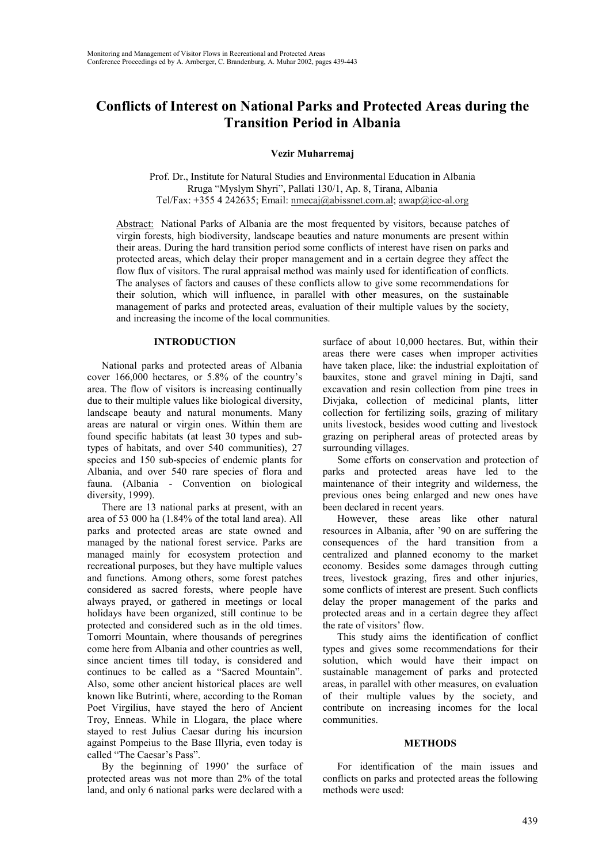# **Conflicts of Interest on National Parks and Protected Areas during the Transition Period in Albania**

**Vezir Muharremaj**

Prof. Dr., Institute for Natural Studies and Environmental Education in Albania Rruga "Myslym Shyri", Pallati 130/1, Ap. 8, Tirana, Albania Tel/Fax: +355 4 242635; Email: nmecaj@abissnet.com.al; awap@icc-al.org

Abstract: National Parks of Albania are the most frequented by visitors, because patches of virgin forests, high biodiversity, landscape beauties and nature monuments are present within their areas. During the hard transition period some conflicts of interest have risen on parks and protected areas, which delay their proper management and in a certain degree they affect the flow flux of visitors. The rural appraisal method was mainly used for identification of conflicts. The analyses of factors and causes of these conflicts allow to give some recommendations for their solution, which will influence, in parallel with other measures, on the sustainable management of parks and protected areas, evaluation of their multiple values by the society, and increasing the income of the local communities.

### **INTRODUCTION**

National parks and protected areas of Albania cover 166,000 hectares, or 5.8% of the country's area. The flow of visitors is increasing continually due to their multiple values like biological diversity, landscape beauty and natural monuments. Many areas are natural or virgin ones. Within them are found specific habitats (at least 30 types and subtypes of habitats, and over 540 communities), 27 species and 150 sub-species of endemic plants for Albania, and over 540 rare species of flora and fauna. (Albania - Convention on biological diversity, 1999).

There are 13 national parks at present, with an area of 53 000 ha (1.84% of the total land area). All parks and protected areas are state owned and managed by the national forest service. Parks are managed mainly for ecosystem protection and recreational purposes, but they have multiple values and functions. Among others, some forest patches considered as sacred forests, where people have always prayed, or gathered in meetings or local holidays have been organized, still continue to be protected and considered such as in the old times. Tomorri Mountain, where thousands of peregrines come here from Albania and other countries as well, since ancient times till today, is considered and continues to be called as a "Sacred Mountain". Also, some other ancient historical places are well known like Butrinti, where, according to the Roman Poet Virgilius, have stayed the hero of Ancient Troy, Enneas. While in Llogara, the place where stayed to rest Julius Caesar during his incursion against Pompeius to the Base Illyria, even today is called "The Caesar's Pass".

By the beginning of 1990' the surface of protected areas was not more than 2% of the total land, and only 6 national parks were declared with a

surface of about 10,000 hectares. But, within their areas there were cases when improper activities have taken place, like: the industrial exploitation of bauxites, stone and gravel mining in Dajti, sand excavation and resin collection from pine trees in Divjaka, collection of medicinal plants, litter collection for fertilizing soils, grazing of military units livestock, besides wood cutting and livestock grazing on peripheral areas of protected areas by surrounding villages.

Some efforts on conservation and protection of parks and protected areas have led to the maintenance of their integrity and wilderness, the previous ones being enlarged and new ones have been declared in recent years.

However, these areas like other natural resources in Albania, after '90 on are suffering the consequences of the hard transition from a centralized and planned economy to the market economy. Besides some damages through cutting trees, livestock grazing, fires and other injuries, some conflicts of interest are present. Such conflicts delay the proper management of the parks and protected areas and in a certain degree they affect the rate of visitors' flow.

This study aims the identification of conflict types and gives some recommendations for their solution, which would have their impact on sustainable management of parks and protected areas, in parallel with other measures, on evaluation of their multiple values by the society, and contribute on increasing incomes for the local communities.

#### **METHODS**

For identification of the main issues and conflicts on parks and protected areas the following methods were used: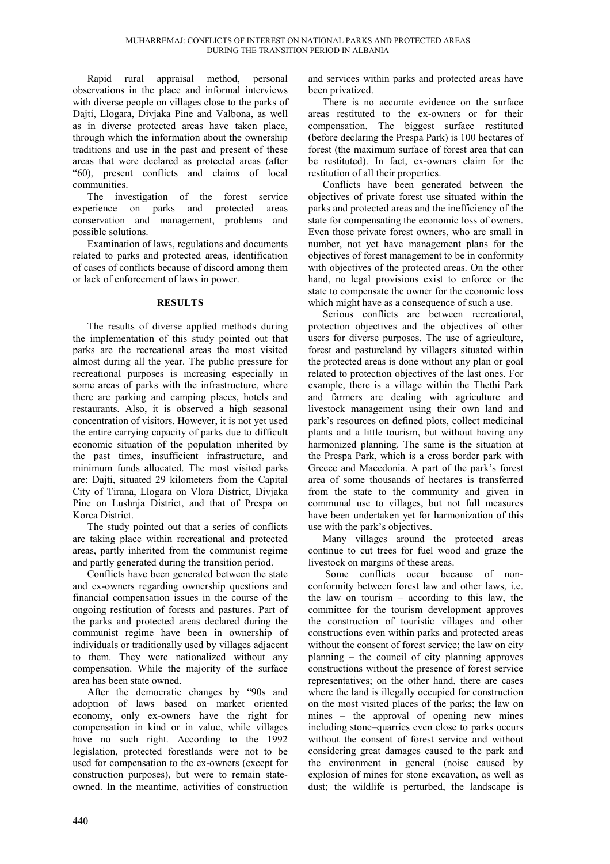Rapid rural appraisal method, personal observations in the place and informal interviews with diverse people on villages close to the parks of Dajti, Llogara, Divjaka Pine and Valbona, as well as in diverse protected areas have taken place, through which the information about the ownership traditions and use in the past and present of these areas that were declared as protected areas (after "60), present conflicts and claims of local communities.

The investigation of the forest service experience on parks and protected areas conservation and management, problems and possible solutions.

Examination of laws, regulations and documents related to parks and protected areas, identification of cases of conflicts because of discord among them or lack of enforcement of laws in power.

# **RESULTS**

The results of diverse applied methods during the implementation of this study pointed out that parks are the recreational areas the most visited almost during all the year. The public pressure for recreational purposes is increasing especially in some areas of parks with the infrastructure, where there are parking and camping places, hotels and restaurants. Also, it is observed a high seasonal concentration of visitors. However, it is not yet used the entire carrying capacity of parks due to difficult economic situation of the population inherited by the past times, insufficient infrastructure, and minimum funds allocated. The most visited parks are: Dajti, situated 29 kilometers from the Capital City of Tirana, Llogara on Vlora District, Divjaka Pine on Lushnja District, and that of Prespa on Korca District.

The study pointed out that a series of conflicts are taking place within recreational and protected areas, partly inherited from the communist regime and partly generated during the transition period.

Conflicts have been generated between the state and ex-owners regarding ownership questions and financial compensation issues in the course of the ongoing restitution of forests and pastures. Part of the parks and protected areas declared during the communist regime have been in ownership of individuals or traditionally used by villages adjacent to them. They were nationalized without any compensation. While the majority of the surface area has been state owned.

After the democratic changes by "90s and adoption of laws based on market oriented economy, only ex-owners have the right for compensation in kind or in value, while villages have no such right. According to the 1992 legislation, protected forestlands were not to be used for compensation to the ex-owners (except for construction purposes), but were to remain stateowned. In the meantime, activities of construction and services within parks and protected areas have been privatized.

There is no accurate evidence on the surface areas restituted to the ex-owners or for their compensation. The biggest surface restituted (before declaring the Prespa Park) is 100 hectares of forest (the maximum surface of forest area that can be restituted). In fact, ex-owners claim for the restitution of all their properties.

Conflicts have been generated between the objectives of private forest use situated within the parks and protected areas and the inefficiency of the state for compensating the economic loss of owners. Even those private forest owners, who are small in number, not yet have management plans for the objectives of forest management to be in conformity with objectives of the protected areas. On the other hand, no legal provisions exist to enforce or the state to compensate the owner for the economic loss which might have as a consequence of such a use.

Serious conflicts are between recreational, protection objectives and the objectives of other users for diverse purposes. The use of agriculture, forest and pastureland by villagers situated within the protected areas is done without any plan or goal related to protection objectives of the last ones. For example, there is a village within the Thethi Park and farmers are dealing with agriculture and livestock management using their own land and park's resources on defined plots, collect medicinal plants and a little tourism, but without having any harmonized planning. The same is the situation at the Prespa Park, which is a cross border park with Greece and Macedonia. A part of the park's forest area of some thousands of hectares is transferred from the state to the community and given in communal use to villages, but not full measures have been undertaken yet for harmonization of this use with the park's objectives.

Many villages around the protected areas continue to cut trees for fuel wood and graze the livestock on margins of these areas.

Some conflicts occur because of nonconformity between forest law and other laws, i.e. the law on tourism – according to this law, the committee for the tourism development approves the construction of touristic villages and other constructions even within parks and protected areas without the consent of forest service; the law on city planning – the council of city planning approves constructions without the presence of forest service representatives; on the other hand, there are cases where the land is illegally occupied for construction on the most visited places of the parks; the law on mines – the approval of opening new mines including stone–quarries even close to parks occurs without the consent of forest service and without considering great damages caused to the park and the environment in general (noise caused by explosion of mines for stone excavation, as well as dust; the wildlife is perturbed, the landscape is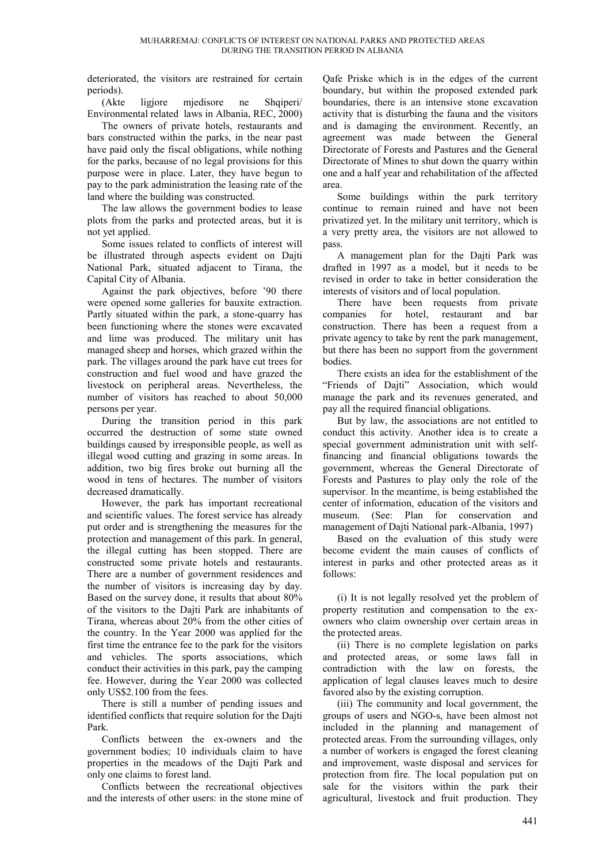deteriorated, the visitors are restrained for certain periods).

(Akte ligjore mjedisore ne Shqiperi/ Environmental related laws in Albania, REC, 2000)

The owners of private hotels, restaurants and bars constructed within the parks, in the near past have paid only the fiscal obligations, while nothing for the parks, because of no legal provisions for this purpose were in place. Later, they have begun to pay to the park administration the leasing rate of the land where the building was constructed.

The law allows the government bodies to lease plots from the parks and protected areas, but it is not yet applied.

Some issues related to conflicts of interest will be illustrated through aspects evident on Dajti National Park, situated adjacent to Tirana, the Capital City of Albania.

Against the park objectives, before '90 there were opened some galleries for bauxite extraction. Partly situated within the park, a stone-quarry has been functioning where the stones were excavated and lime was produced. The military unit has managed sheep and horses, which grazed within the park. The villages around the park have cut trees for construction and fuel wood and have grazed the livestock on peripheral areas. Nevertheless, the number of visitors has reached to about 50,000 persons per year.

During the transition period in this park occurred the destruction of some state owned buildings caused by irresponsible people, as well as illegal wood cutting and grazing in some areas. In addition, two big fires broke out burning all the wood in tens of hectares. The number of visitors decreased dramatically.

However, the park has important recreational and scientific values. The forest service has already put order and is strengthening the measures for the protection and management of this park. In general, the illegal cutting has been stopped. There are constructed some private hotels and restaurants. There are a number of government residences and the number of visitors is increasing day by day. Based on the survey done, it results that about 80% of the visitors to the Dajti Park are inhabitants of Tirana, whereas about 20% from the other cities of the country. In the Year 2000 was applied for the first time the entrance fee to the park for the visitors and vehicles. The sports associations, which conduct their activities in this park, pay the camping fee. However, during the Year 2000 was collected only US\$2.100 from the fees.

There is still a number of pending issues and identified conflicts that require solution for the Dajti Park.

Conflicts between the ex-owners and the government bodies; 10 individuals claim to have properties in the meadows of the Dajti Park and only one claims to forest land.

Conflicts between the recreational objectives and the interests of other users: in the stone mine of Qafe Priske which is in the edges of the current boundary, but within the proposed extended park boundaries, there is an intensive stone excavation activity that is disturbing the fauna and the visitors and is damaging the environment. Recently, an agreement was made between the General Directorate of Forests and Pastures and the General Directorate of Mines to shut down the quarry within one and a half year and rehabilitation of the affected area.

Some buildings within the park territory continue to remain ruined and have not been privatized yet. In the military unit territory, which is a very pretty area, the visitors are not allowed to pass.

A management plan for the Dajti Park was drafted in 1997 as a model, but it needs to be revised in order to take in better consideration the interests of visitors and of local population.

There have been requests from private companies for hotel, restaurant and bar construction. There has been a request from a private agency to take by rent the park management, but there has been no support from the government bodies.

There exists an idea for the establishment of the "Friends of Dajti" Association, which would manage the park and its revenues generated, and pay all the required financial obligations.

But by law, the associations are not entitled to conduct this activity. Another idea is to create a special government administration unit with selffinancing and financial obligations towards the government, whereas the General Directorate of Forests and Pastures to play only the role of the supervisor. In the meantime, is being established the center of information, education of the visitors and museum. (See: Plan for conservation and management of Daiti National park-Albania, 1997)

Based on the evaluation of this study were become evident the main causes of conflicts of interest in parks and other protected areas as it follows:

(i) It is not legally resolved yet the problem of property restitution and compensation to the exowners who claim ownership over certain areas in the protected areas.

(ii) There is no complete legislation on parks and protected areas, or some laws fall in contradiction with the law on forests, the application of legal clauses leaves much to desire favored also by the existing corruption.

(iii) The community and local government, the groups of users and NGO-s, have been almost not included in the planning and management of protected areas. From the surrounding villages, only a number of workers is engaged the forest cleaning and improvement, waste disposal and services for protection from fire. The local population put on sale for the visitors within the park their agricultural, livestock and fruit production. They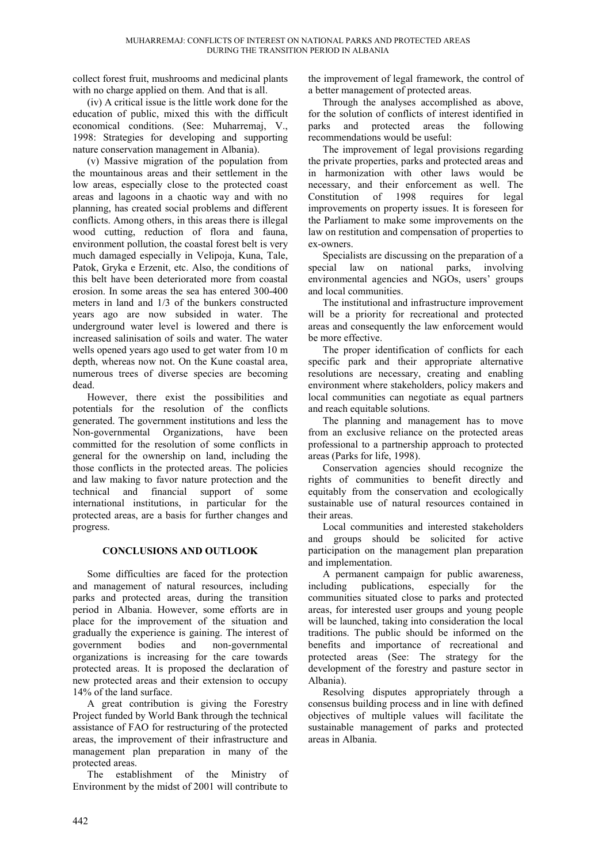collect forest fruit, mushrooms and medicinal plants with no charge applied on them. And that is all.

(iv) A critical issue is the little work done for the education of public, mixed this with the difficult economical conditions. (See: Muharremaj, V., 1998: Strategies for developing and supporting nature conservation management in Albania).

(v) Massive migration of the population from the mountainous areas and their settlement in the low areas, especially close to the protected coast areas and lagoons in a chaotic way and with no planning, has created social problems and different conflicts. Among others, in this areas there is illegal wood cutting, reduction of flora and fauna, environment pollution, the coastal forest belt is very much damaged especially in Velipoja, Kuna, Tale, Patok, Gryka e Erzenit, etc. Also, the conditions of this belt have been deteriorated more from coastal erosion. In some areas the sea has entered 300-400 meters in land and 1/3 of the bunkers constructed years ago are now subsided in water. The underground water level is lowered and there is increased salinisation of soils and water. The water wells opened years ago used to get water from 10 m depth, whereas now not. On the Kune coastal area, numerous trees of diverse species are becoming dead.

However, there exist the possibilities and potentials for the resolution of the conflicts generated. The government institutions and less the Non-governmental Organizations, have been committed for the resolution of some conflicts in general for the ownership on land, including the those conflicts in the protected areas. The policies and law making to favor nature protection and the technical and financial support of some international institutions, in particular for the protected areas, are a basis for further changes and progress.

# **CONCLUSIONS AND OUTLOOK**

Some difficulties are faced for the protection and management of natural resources, including parks and protected areas, during the transition period in Albania. However, some efforts are in place for the improvement of the situation and gradually the experience is gaining. The interest of government bodies and non-governmental organizations is increasing for the care towards protected areas. It is proposed the declaration of new protected areas and their extension to occupy 14% of the land surface.

A great contribution is giving the Forestry Project funded by World Bank through the technical assistance of FAO for restructuring of the protected areas, the improvement of their infrastructure and management plan preparation in many of the protected areas.

The establishment of the Ministry of Environment by the midst of 2001 will contribute to

the improvement of legal framework, the control of a better management of protected areas.

Through the analyses accomplished as above, for the solution of conflicts of interest identified in parks and protected areas the following recommendations would be useful:

The improvement of legal provisions regarding the private properties, parks and protected areas and in harmonization with other laws would be necessary, and their enforcement as well. The Constitution of 1998 requires for legal improvements on property issues. It is foreseen for the Parliament to make some improvements on the law on restitution and compensation of properties to ex-owners.

Specialists are discussing on the preparation of a special law on national parks, involving environmental agencies and NGOs, users' groups and local communities.

The institutional and infrastructure improvement will be a priority for recreational and protected areas and consequently the law enforcement would be more effective.

The proper identification of conflicts for each specific park and their appropriate alternative resolutions are necessary, creating and enabling environment where stakeholders, policy makers and local communities can negotiate as equal partners and reach equitable solutions.

The planning and management has to move from an exclusive reliance on the protected areas professional to a partnership approach to protected areas (Parks for life, 1998).

Conservation agencies should recognize the rights of communities to benefit directly and equitably from the conservation and ecologically sustainable use of natural resources contained in their areas.

Local communities and interested stakeholders and groups should be solicited for active participation on the management plan preparation and implementation.

A permanent campaign for public awareness, including publications, especially for the communities situated close to parks and protected areas, for interested user groups and young people will be launched, taking into consideration the local traditions. The public should be informed on the benefits and importance of recreational and protected areas (See: The strategy for the development of the forestry and pasture sector in Albania).

Resolving disputes appropriately through a consensus building process and in line with defined objectives of multiple values will facilitate the sustainable management of parks and protected areas in Albania.